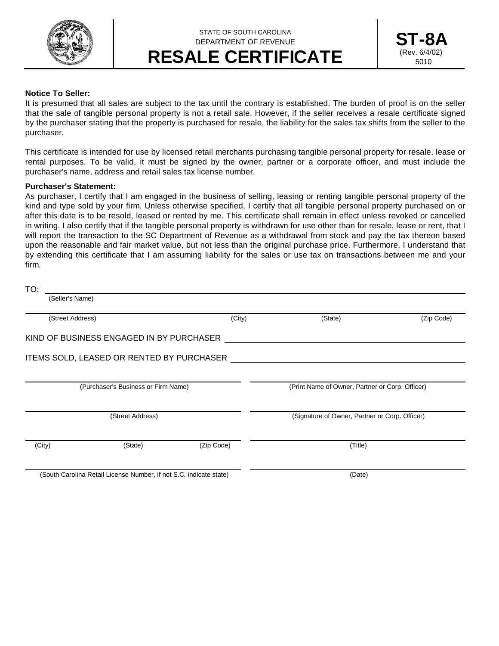

## STATE OF SOUTH CAROLINA DEPARTMENT OF REVENUE **RESALE CERTIFICATE**



## **Notice To Seller:**

It is presumed that all sales are subject to the tax until the contrary is established. The burden of proof is on the seller that the sale of tangible personal property is not a retail sale. However, if the seller receives a resale certificate signed by the purchaser stating that the property is purchased for resale, the liability for the sales tax shifts from the seller to the purchaser.

This certificate is intended for use by licensed retail merchants purchasing tangible personal property for resale, lease or rental purposes. To be valid, it must be signed by the owner, partner or a corporate officer, and must include the purchaser's name, address and retail sales tax license number.

## **Purchaser's Statement:**

As purchaser, I certify that I am engaged in the business of selling, leasing or renting tangible personal property of the kind and type sold by your firm. Unless otherwise specified, I certify that all tangible personal property purchased on or after this date is to be resold, leased or rented by me. This certificate shall remain in effect unless revoked or cancelled in writing. I also certify that if the tangible personal property is withdrawn for use other than for resale, lease or rent, that I will report the transaction to the SC Department of Revenue as a withdrawal from stock and pay the tax thereon based upon the reasonable and fair market value, but not less than the original purchase price. Furthermore, I understand that by extending this certificate that I am assuming liability for the sales or use tax on transactions between me and your firm.

| TO:                                                                |                                           |            |                                                 |            |
|--------------------------------------------------------------------|-------------------------------------------|------------|-------------------------------------------------|------------|
| (Seller's Name)                                                    |                                           |            |                                                 |            |
| (Street Address)                                                   |                                           | (City)     | (State)                                         | (Zip Code) |
|                                                                    | KIND OF BUSINESS ENGAGED IN BY PURCHASER  |            |                                                 |            |
|                                                                    | ITEMS SOLD, LEASED OR RENTED BY PURCHASER |            |                                                 |            |
| (Purchaser's Business or Firm Name)                                |                                           |            | (Print Name of Owner, Partner or Corp. Officer) |            |
| (Street Address)                                                   |                                           |            | (Signature of Owner, Partner or Corp. Officer)  |            |
| (City)                                                             | (State)                                   | (Zip Code) | (Title)                                         |            |
| (South Carolina Retail License Number, if not S.C. indicate state) |                                           |            | (Date)                                          |            |